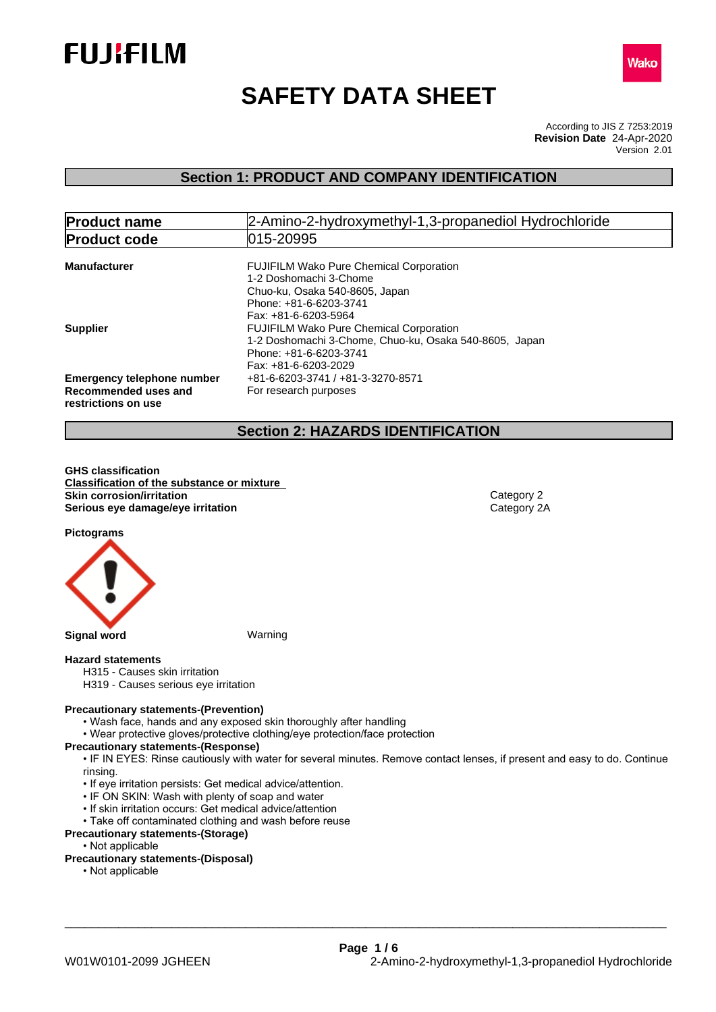



# **SAFETY DATA SHEET**

According to JIS Z 7253:2019 Version 2.01 **Revision Date** 24-Apr-2020

# **Section 1: PRODUCT AND COMPANY IDENTIFICATION**

| 2-Amino-2-hydroxymethyl-1,3-propanediol Hydrochloride<br><b>Product name</b>     |                                                                                                                                                              |  |  |  |
|----------------------------------------------------------------------------------|--------------------------------------------------------------------------------------------------------------------------------------------------------------|--|--|--|
| <b>Product code</b>                                                              | 015-20995                                                                                                                                                    |  |  |  |
| <b>Manufacturer</b>                                                              | <b>FUJIFILM Wako Pure Chemical Corporation</b><br>1-2 Doshomachi 3-Chome<br>Chuo-ku, Osaka 540-8605, Japan<br>Phone: +81-6-6203-3741<br>Fax: +81-6-6203-5964 |  |  |  |
| <b>Supplier</b>                                                                  | <b>FUJIFILM Wako Pure Chemical Corporation</b><br>1-2 Doshomachi 3-Chome, Chuo-ku, Osaka 540-8605, Japan<br>Phone: +81-6-6203-3741<br>Fax: +81-6-6203-2029   |  |  |  |
| <b>Emergency telephone number</b><br>Recommended uses and<br>restrictions on use | +81-6-6203-3741 / +81-3-3270-8571<br>For research purposes                                                                                                   |  |  |  |

# **Section 2: HAZARDS IDENTIFICATION**

**GHS classification Classification of the substance or mixture Skin corrosion/irritation**<br> **Serious eye damage/eye irritation**<br>
Category 2A **Serious** eye damage/eye irritation

**Pictograms**



**Signal word** Warning

#### **Hazard statements**

- H315 Causes skin irritation
- H319 Causes serious eye irritation

#### **Precautionary statements-(Prevention)**

- Wash face, hands and any exposed skin thoroughly after handling
- Wear protective gloves/protective clothing/eye protection/face protection

#### **Precautionary statements-(Response)**

• IF IN EYES: Rinse cautiously with water for several minutes. Remove contact lenses, if present and easy to do. Continue rinsing.

- If eye irritation persists: Get medical advice/attention.
- IF ON SKIN: Wash with plenty of soap and water
- If skin irritation occurs: Get medical advice/attention
- Take off contaminated clothing and wash before reuse

# **Precautionary statements-(Storage)**

• Not applicable

### **Precautionary statements-(Disposal)**

• Not applicable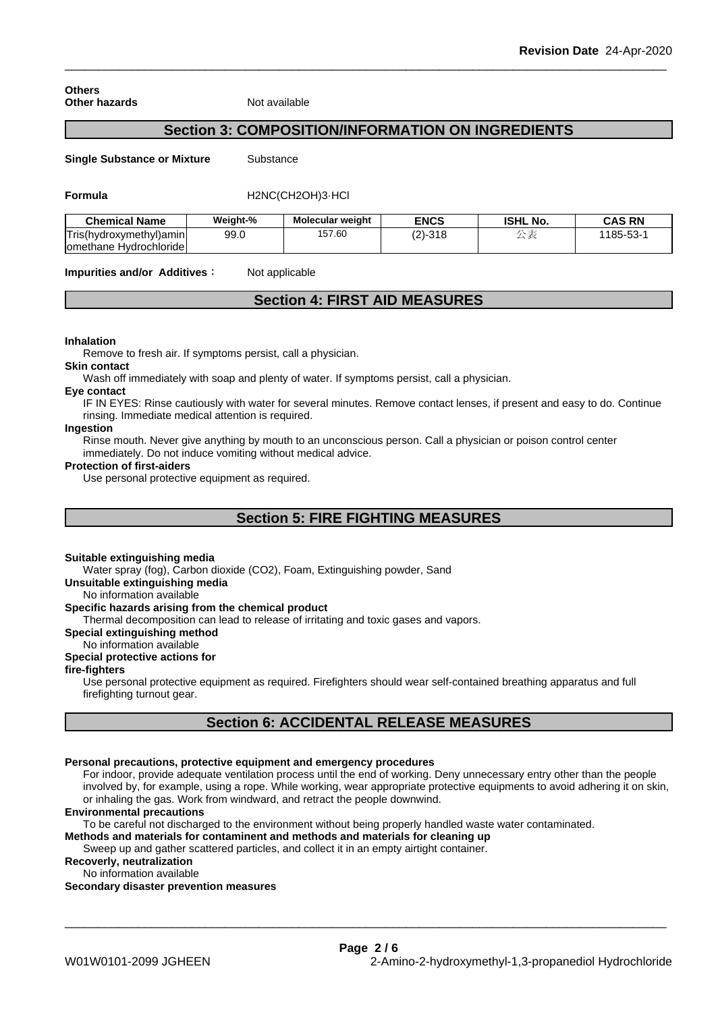#### **Others Other hazards** Not available

# **Section 3: COMPOSITION/INFORMATION ON INGREDIENTS**

**Single Substance or Mixture** Substance

#### **Formula** H2NC(CH2OH)3·HCl

| <b>Chemical Name</b>            | Weight-% | <b>Molecular weight</b> | <b>ENCS</b>     | <b>ISHL</b><br>. No. | <b>CAS RN</b> |
|---------------------------------|----------|-------------------------|-----------------|----------------------|---------------|
| Tris(hydroxymethyl)amin         | 99.0     | 157.60                  | $(2)$ -<br>-318 | $\rightarrow$ 2      | $185 - 53 -$  |
| ⊧ HvdrochlorideI<br>lomethane F |          |                         |                 |                      |               |

**Impurities and/or Additives :** Not applicable

# **Section 4: FIRST AID MEASURES**

#### **Inhalation**

Remove to fresh air. If symptoms persist, call a physician.

#### **Skin contact**

Wash off immediately with soap and plenty of water. If symptoms persist, calla physician.

#### **Eye contact**

IF IN EYES: Rinse cautiously with water forseveral minutes. Remove contact lenses, if present and easy to do. Continue rinsing. Immediate medical attention is required.

#### **Ingestion**

Rinse mouth. Never give anything by mouth to an unconscious person. Call a physician or poison control center immediately. Do not induce vomiting without medical advice.

#### **Protection of first-aiders**

Use personal protective equipment as required.

# **Section 5: FIRE FIGHTING MEASURES**

#### **Suitable extinguishing media**

Water spray (fog), Carbon dioxide (CO2), Foam, Extinguishing powder, Sand

**Unsuitable extinguishing media**

No information available

#### **Specific hazards arising from the chemical product**

Thermal decomposition can lead to release of irritating and toxic gases and vapors.

**Special extinguishing method**

#### No information available

#### **Special protective actions for**

**fire-fighters**

Use personal protective equipment as required.Firefighters should wear self-contained breathing apparatus and full firefighting turnout gear.

# **Section 6: ACCIDENTAL RELEASE MEASURES**

#### **Personal precautions, protective equipment and emergency procedures**

For indoor, provide adequate ventilation process until the end of working. Deny unnecessary entry other than the people involved by, for example, using a rope. While working, wear appropriate protective equipments to avoid adhering it on skin, or inhaling the gas. Work from windward, and retract the people downwind.

\_\_\_\_\_\_\_\_\_\_\_\_\_\_\_\_\_\_\_\_\_\_\_\_\_\_\_\_\_\_\_\_\_\_\_\_\_\_\_\_\_\_\_\_\_\_\_\_\_\_\_\_\_\_\_\_\_\_\_\_\_\_\_\_\_\_\_\_\_\_\_\_\_\_\_\_\_\_\_\_\_\_\_\_\_\_\_\_\_\_

#### **Environmental precautions**

To be careful not discharged to the environment without being properly handled waste water contaminated.

**Methods and materials for contaminent and methods and materials for cleaning up**

Sweep up and gather scattered particles, and collect it in an empty airtight container.

**Recoverly, neutralization** No information available

**Secondary disaster prevention measures**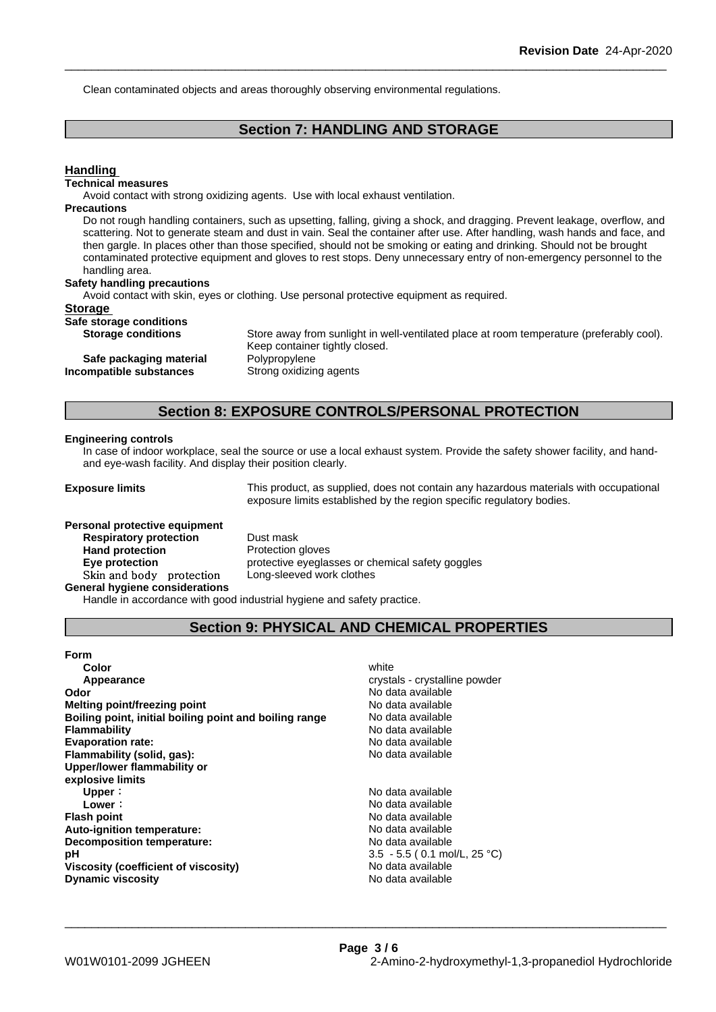Clean contaminated objects and areas thoroughly observing environmental regulations.

# **Section 7: HANDLING AND STORAGE**

# **Handling**

### **Technical measures**

Avoid contact with strong oxidizing agents. Use with local exhaust ventilation.

#### **Precautions**

Do not rough handling containers, such as upsetting, falling, giving a shock, and dragging. Prevent leakage, overflow, and scattering. Not to generate steam and dust in vain. Seal the container after use. After handling, wash hands and face, and then gargle. In places other than those specified, should not be smoking or eating and drinking. Should not be brought contaminated protective equipment and gloves to rest stops. Deny unnecessary entry of non-emergency personnel to the handling area.

#### **Safety handling precautions**

**Safe packaging material Incompatible** substances

Avoid contact with skin, eyes or clothing. Use personal protective equipment as required.

#### **Storage**

**Safe storage conditions Storage conditions** 

| Store away from sunlight in well-ventilated place at room temperature (preferably cool). |
|------------------------------------------------------------------------------------------|
| Keep container tightly closed.                                                           |
| Polvpropylene                                                                            |
| Strong oxidizing agents                                                                  |

#### **Section 8: EXPOSURE CONTROLS/PERSONAL PROTECTION**

#### **Engineering controls**

In case of indoor workplace, seal the source or use a local exhaust system. Provide the safety shower facility, and handand eye-wash facility. And display their position clearly.

**Exposure limits** This product, as supplied, does not contain any hazardous materials with occupational exposure limits established by the region specific regulatory bodies.

# **Personal protective equipment Respiratory protection** Dust mask **Hand protection Skinandbody protection** Long-sleeved work clothes

**Eye protection protective eyeglasses or chemical safety goggles** 

**General hygiene considerations**

Handle in accordance with good industrial hygiene and safety practice.

# **Section 9: PHYSICAL AND CHEMICAL PROPERTIES**

| white                          |
|--------------------------------|
| crystals - crystalline powder  |
| No data available              |
| No data available              |
| No data available              |
| No data available              |
| No data available              |
| No data available              |
|                                |
|                                |
| No data available              |
| No data available              |
| No data available              |
| No data available              |
| No data available              |
| $3.5 - 5.5$ (0.1 mol/L, 25 °C) |
| No data available              |
| No data available              |
|                                |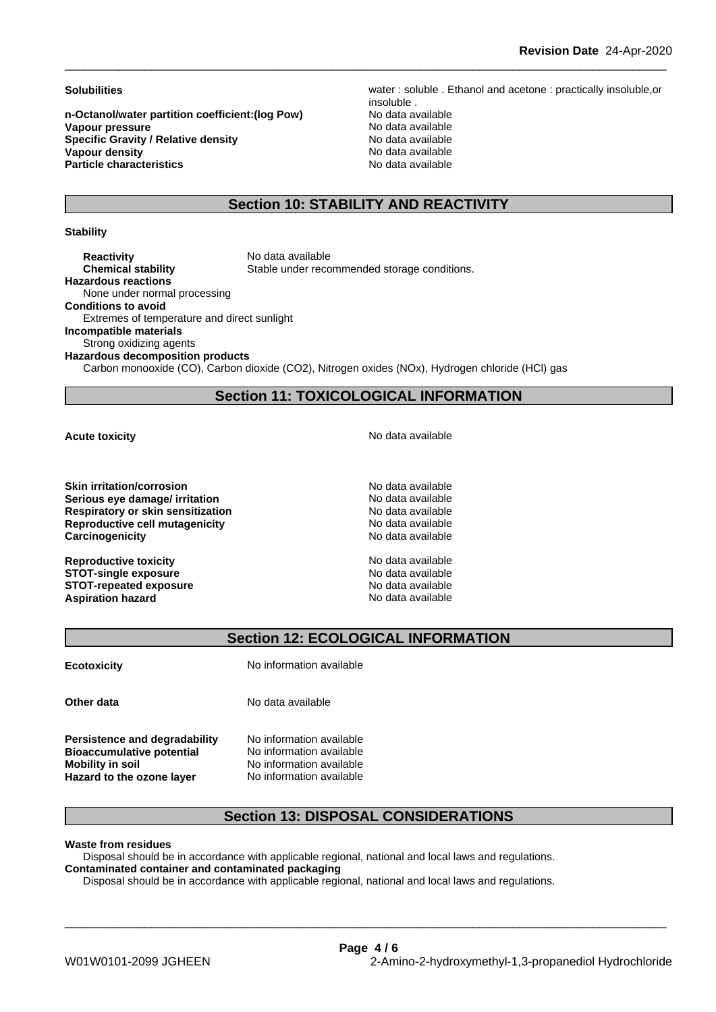**n-Octanol/water partition coefficient:(log Pow) No data available<br>
<b>Vapour pressure** No data available **Vapour pressure**<br> **Specific Gravity / Relative density**<br>
Specific Gravity / Relative density<br>
No data available **Specific Gravity / Relative density<br>Vapour density Particle characteristics** No data available

**Solubilities** water : soluble . Ethanol and acetone : practically insoluble,or insoluble . **No data available** 

# **Section 10: STABILITY AND REACTIVITY**

#### **Stability**

**Reactivity** No data available **Chemical stability** Stable under recommended storage conditions. **Hazardous reactions** None under normal processing **Conditions to avoid** Extremes of temperature and direct sunlight **Incompatible materials** Strong oxidizing agents **Hazardous decomposition products**

Carbon monooxide (CO), Carbon dioxide (CO2), Nitrogen oxides (NOx), Hydrogen chloride (HCl) gas

# **Section 11: TOXICOLOGICAL INFORMATION**

**Skin irritation/corrosion** No data available **Serious eye damage/ irritation No data available No data available Respiratory or skin sensitization**<br> **Reproductive cell mutagenicity**<br> **Reproductive cell mutagenicity**<br> **No data available Reproductive cell mutagenicity Carcinogenicity Carcinogenicity Carcinogenicity No data available** 

**Reproductive toxicity** No data available **STOT-single exposure**  $\qquad \qquad \text{No data available}$ **STOT-repeated exposure**<br> **Aspiration hazard**<br> **Aspiration hazard**<br> **Aspiration hazard Aspiration hazard** 

**Acute toxicity Acute toxicity Acute has a structure in the structure of**  $\mathbb{R}^n$  **<b>No** data available

# **Section 12: ECOLOGICAL INFORMATION**

**Ecotoxicity** No information available

**Persistence and degradability** No information available **Bioaccumulative potential** No information available **Mobility** in soil **Mobility** in soil **No** information available

**Other data** No data available

**Hazard to the ozone layer** No information available

# **Section 13: DISPOSAL CONSIDERATIONS**

\_\_\_\_\_\_\_\_\_\_\_\_\_\_\_\_\_\_\_\_\_\_\_\_\_\_\_\_\_\_\_\_\_\_\_\_\_\_\_\_\_\_\_\_\_\_\_\_\_\_\_\_\_\_\_\_\_\_\_\_\_\_\_\_\_\_\_\_\_\_\_\_\_\_\_\_\_\_\_\_\_\_\_\_\_\_\_\_\_\_

**Waste from residues**

Disposal should be in accordance with applicable regional, national and local laws and regulations. **Contaminated container and contaminated packaging**

Disposal should be in accordance with applicable regional, national and local laws and regulations.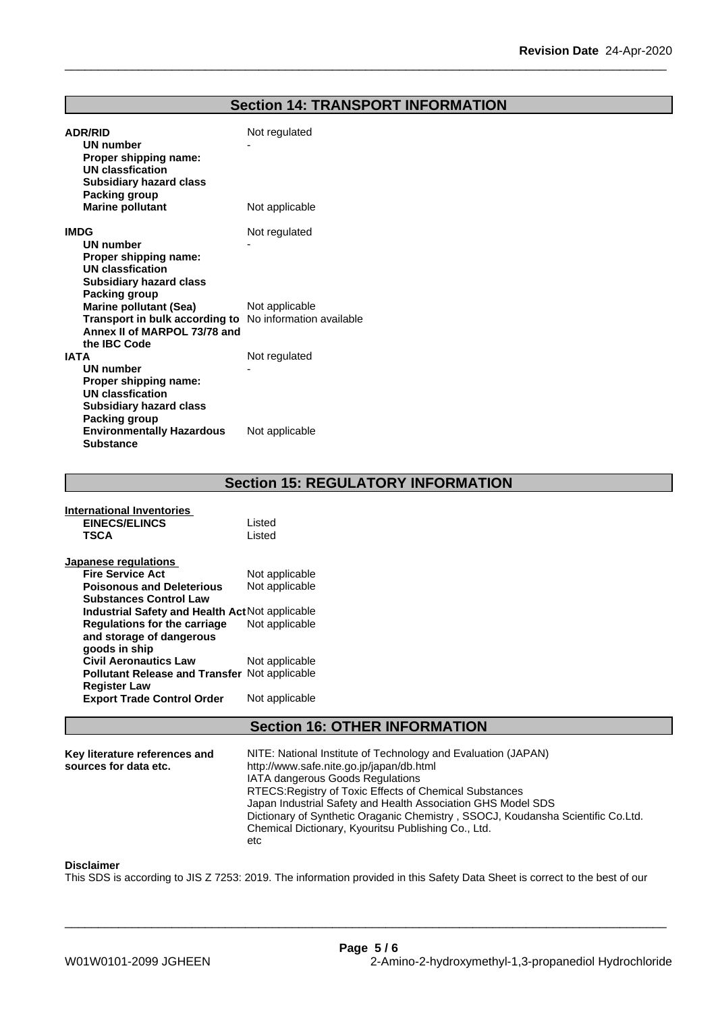# **Section 14: TRANSPORT INFORMATION**

| <b>ADR/RID</b><br>UN number<br>Proper shipping name:                                    | Not regulated  |
|-----------------------------------------------------------------------------------------|----------------|
| <b>UN classfication</b><br><b>Subsidiary hazard class</b><br>Packing group              |                |
| <b>Marine pollutant</b>                                                                 | Not applicable |
| <b>IMDG</b>                                                                             | Not regulated  |
| <b>UN number</b>                                                                        |                |
| Proper shipping name:<br><b>UN classfication</b>                                        |                |
| <b>Subsidiary hazard class</b>                                                          |                |
| Packing group<br><b>Marine pollutant (Sea)</b>                                          | Not applicable |
| Transport in bulk according to No information available<br>Annex II of MARPOL 73/78 and |                |
| the IBC Code<br><b>IATA</b>                                                             | Not regulated  |
| <b>UN number</b>                                                                        |                |
| Proper shipping name:                                                                   |                |
| <b>UN classfication</b><br><b>Subsidiary hazard class</b>                               |                |
| Packing group                                                                           |                |
| <b>Environmentally Hazardous</b><br><b>Substance</b>                                    | Not applicable |

**Section 15: REGULATORY INFORMATION**

| International Inventories                            |                |
|------------------------------------------------------|----------------|
| <b>EINECS/ELINCS</b>                                 | Listed         |
| <b>TSCA</b>                                          | Listed         |
| Japanese regulations                                 |                |
| <b>Fire Service Act</b>                              | Not applicable |
| <b>Poisonous and Deleterious</b>                     | Not applicable |
| <b>Substances Control Law</b>                        |                |
| Industrial Safety and Health Act Not applicable      |                |
| Regulations for the carriage                         | Not applicable |
| and storage of dangerous                             |                |
| goods in ship                                        |                |
| <b>Civil Aeronautics Law</b>                         | Not applicable |
| <b>Pollutant Release and Transfer Not applicable</b> |                |
| <b>Register Law</b>                                  |                |
| <b>Export Trade Control Order</b>                    | Not applicable |

# **Section 16: OTHER INFORMATION**

| RTECS: Registry of Toxic Effects of Chemical Substances                                                                                |
|----------------------------------------------------------------------------------------------------------------------------------------|
| Japan Industrial Safety and Health Association GHS Model SDS                                                                           |
| Dictionary of Synthetic Oraganic Chemistry, SSOCJ, Koudansha Scientific Co.Ltd.<br>Chemical Dictionary, Kyouritsu Publishing Co., Ltd. |
|                                                                                                                                        |

#### **Disclaimer**

This SDS is according to JIS Z 7253: 2019. The information provided in this Safety Data Sheet is correct to the best of our